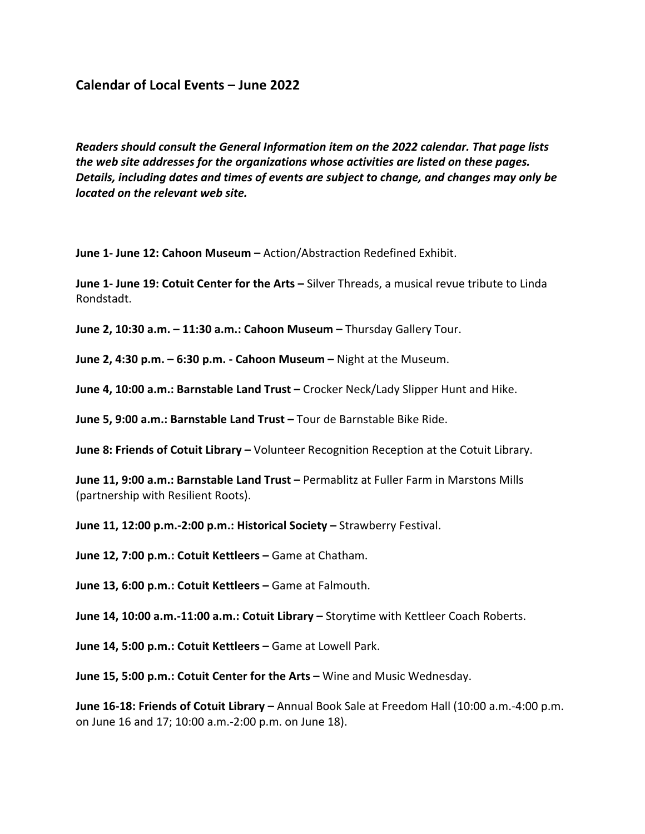## **Calendar of Local Events – June 2022**

*Readers should consult the General Information item on the 2022 calendar. That page lists the web site addresses for the organizations whose activities are listed on these pages. Details, including dates and times of events are subject to change, and changes may only be located on the relevant web site.* 

**June 1- June 12: Cahoon Museum –** Action/Abstraction Redefined Exhibit.

**June 1- June 19: Cotuit Center for the Arts –** Silver Threads, a musical revue tribute to Linda Rondstadt.

**June 2, 10:30 a.m. – 11:30 a.m.: Cahoon Museum –** Thursday Gallery Tour.

**June 2, 4:30 p.m. – 6:30 p.m. - Cahoon Museum –** Night at the Museum.

**June 4, 10:00 a.m.: Barnstable Land Trust –** Crocker Neck/Lady Slipper Hunt and Hike.

**June 5, 9:00 a.m.: Barnstable Land Trust –** Tour de Barnstable Bike Ride.

**June 8: Friends of Cotuit Library –** Volunteer Recognition Reception at the Cotuit Library.

**June 11, 9:00 a.m.: Barnstable Land Trust –** Permablitz at Fuller Farm in Marstons Mills (partnership with Resilient Roots).

**June 11, 12:00 p.m.-2:00 p.m.: Historical Society –** Strawberry Festival.

**June 12, 7:00 p.m.: Cotuit Kettleers –** Game at Chatham.

**June 13, 6:00 p.m.: Cotuit Kettleers –** Game at Falmouth.

**June 14, 10:00 a.m.-11:00 a.m.: Cotuit Library –** Storytime with Kettleer Coach Roberts.

**June 14, 5:00 p.m.: Cotuit Kettleers –** Game at Lowell Park.

**June 15, 5:00 p.m.: Cotuit Center for the Arts –** Wine and Music Wednesday.

**June 16-18: Friends of Cotuit Library –** Annual Book Sale at Freedom Hall (10:00 a.m.-4:00 p.m. on June 16 and 17; 10:00 a.m.-2:00 p.m. on June 18).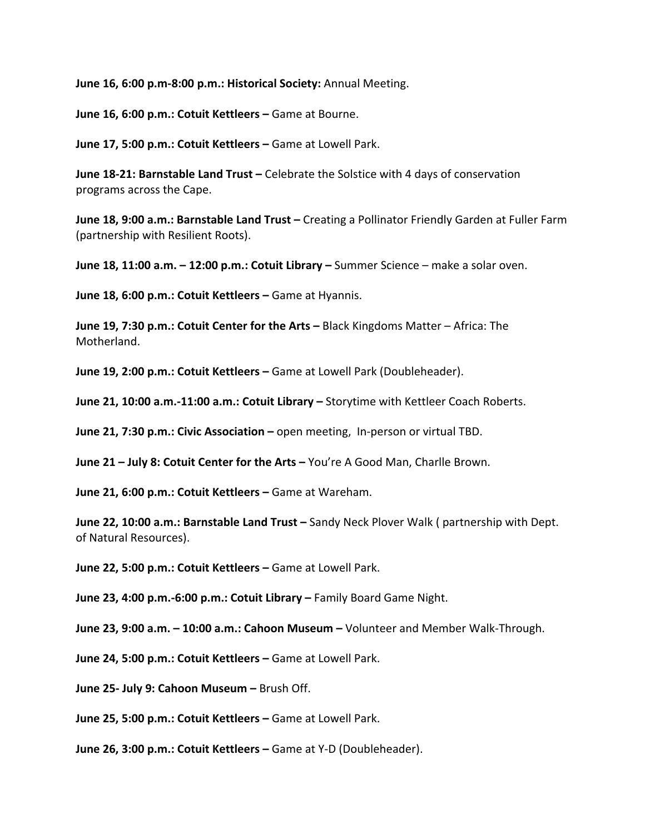**June 16, 6:00 p.m-8:00 p.m.: Historical Society:** Annual Meeting.

**June 16, 6:00 p.m.: Cotuit Kettleers –** Game at Bourne.

**June 17, 5:00 p.m.: Cotuit Kettleers –** Game at Lowell Park.

**June 18-21: Barnstable Land Trust –** Celebrate the Solstice with 4 days of conservation programs across the Cape.

**June 18, 9:00 a.m.: Barnstable Land Trust –** Creating a Pollinator Friendly Garden at Fuller Farm (partnership with Resilient Roots).

**June 18, 11:00 a.m. – 12:00 p.m.: Cotuit Library –** Summer Science – make a solar oven.

**June 18, 6:00 p.m.: Cotuit Kettleers –** Game at Hyannis.

**June 19, 7:30 p.m.: Cotuit Center for the Arts –** Black Kingdoms Matter – Africa: The Motherland.

**June 19, 2:00 p.m.: Cotuit Kettleers –** Game at Lowell Park (Doubleheader).

**June 21, 10:00 a.m.-11:00 a.m.: Cotuit Library –** Storytime with Kettleer Coach Roberts.

**June 21, 7:30 p.m.: Civic Association –** open meeting, In-person or virtual TBD.

**June 21 – July 8: Cotuit Center for the Arts –** You're A Good Man, Charlle Brown.

**June 21, 6:00 p.m.: Cotuit Kettleers –** Game at Wareham.

**June 22, 10:00 a.m.: Barnstable Land Trust –** Sandy Neck Plover Walk ( partnership with Dept. of Natural Resources).

**June 22, 5:00 p.m.: Cotuit Kettleers –** Game at Lowell Park.

**June 23, 4:00 p.m.-6:00 p.m.: Cotuit Library –** Family Board Game Night.

**June 23, 9:00 a.m. – 10:00 a.m.: Cahoon Museum –** Volunteer and Member Walk-Through.

**June 24, 5:00 p.m.: Cotuit Kettleers –** Game at Lowell Park.

**June 25- July 9: Cahoon Museum –** Brush Off.

**June 25, 5:00 p.m.: Cotuit Kettleers –** Game at Lowell Park.

**June 26, 3:00 p.m.: Cotuit Kettleers –** Game at Y-D (Doubleheader).